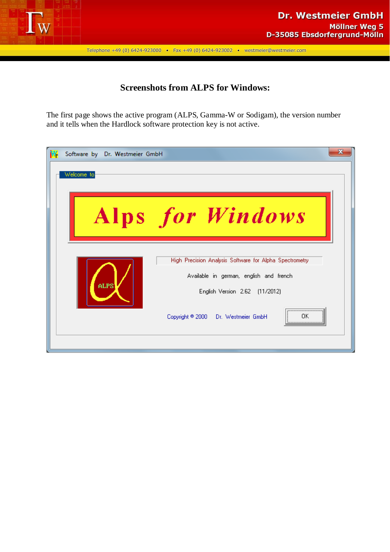

## **Screenshots from ALPS for Windows:**

The first page shows the active program (ALPS, Gamma-W or Sodigam), the version number and it tells when the Hardlock software protection key is not active.

| Software by Dr. Westmeier GmbH                          | x |
|---------------------------------------------------------|---|
| Welcome to                                              |   |
|                                                         |   |
|                                                         |   |
| Alps for Windows                                        |   |
|                                                         |   |
|                                                         |   |
| High Precision Analysis Software for Alpha Spectrometry |   |
| Available in german, english and french                 |   |
| ALPS<br>English Version 2.62 (11/2012)                  |   |
|                                                         |   |
| Copyright ® 2000 Dr. Westmeier GmbH<br>ΩK<br>           |   |
|                                                         |   |
|                                                         |   |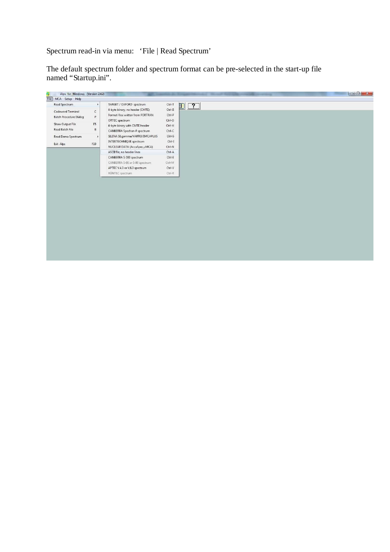# Spectrum read-in via menu: 'File | Read Spectrum'

The default spectrum folder and spectrum format can be pre-selected in the start-up file named "Startup.ini".

| Alps for Windows (Version 2.62)      |                       |                                  |                      |
|--------------------------------------|-----------------------|----------------------------------|----------------------|
| File MCA Setup Help<br>Read Spectrum |                       | TARGET / OXFORD spectrum         |                      |
|                                      | $\blacktriangleright$ | 4-byte binary, no header (CMTE)  | $Ctrl-T$<br>$Ctrl-B$ |
| Codeword Terminal                    | $\mathsf{C}$          | Format-free written from FORTRAN | Ctrl-F               |
| <b>Batch Procedure Dialog</b>        | P.                    | ORTEC spectrum                   | Ctrl-O               |
| Show Output File                     | F <sub>5</sub>        | 4-byte binary with CMTE header   | Ctrl-H               |
| Read Batch File                      | B.                    | CANBERRA Spectran-F spectrum     | $Ctrl-C$             |
| Read Demo Spectrum                   | $\blacktriangleright$ | SILENA SILgamma/VARRO/EMCAPLUS   | Ctrl-S               |
|                                      |                       | INTERTECHNIQUE spectrum          | Ctrl-I               |
| Exit Alps                            | F10                   | NUCLEAR DATA (AccuSpec, µMCA)    | Ctrl-N               |
|                                      |                       | ASCII file, no header lines      | Ctrl-A               |
|                                      |                       | CANBERRA S-100 spectrum          | $Ctrl-E$             |
|                                      |                       | CANBERRA S-80 or S-90 spectrum   | Ctrl-M               |
|                                      |                       | APTEC V.4.3 or V.6.3 spectrum    | Ctrl-V               |
|                                      |                       | RÖNTEC spectrum                  | $Ctrl-R$             |
|                                      |                       |                                  |                      |
|                                      |                       |                                  |                      |
|                                      |                       |                                  |                      |
|                                      |                       |                                  |                      |
|                                      |                       |                                  |                      |
|                                      |                       |                                  |                      |
|                                      |                       |                                  |                      |
|                                      |                       |                                  |                      |
|                                      |                       |                                  |                      |
|                                      |                       |                                  |                      |
|                                      |                       |                                  |                      |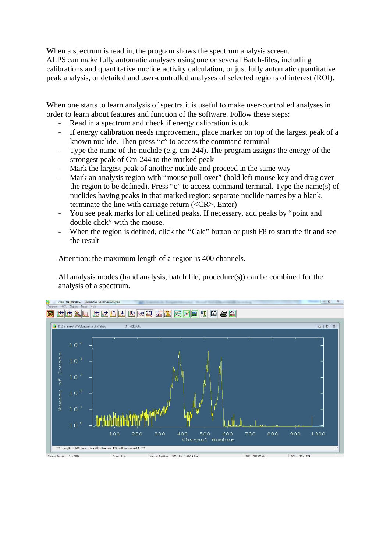When a spectrum is read in, the program shows the spectrum analysis screen. ALPS can make fully automatic analyses using one or several Batch-files, including calibrations and quantitative nuclide activity calculation, or just fully automatic quantitative peak analysis, or detailed and user-controlled analyses of selected regions of interest (ROI).

When one starts to learn analysis of spectra it is useful to make user-controlled analyses in order to learn about features and function of the software. Follow these steps:

- Read in a spectrum and check if energy calibration is o.k.
- If energy calibration needs improvement, place marker on top of the largest peak of a known nuclide. Then press "c" to access the command terminal
- Type the name of the nuclide (e.g. cm-244). The program assigns the energy of the strongest peak of Cm-244 to the marked peak
- Mark the largest peak of another nuclide and proceed in the same way
- Mark an analysis region with "mouse pull-over" (hold left mouse key and drag over the region to be defined). Press "c" to access command terminal. Type the name(s) of nuclides having peaks in that marked region; separate nuclide names by a blank, terminate the line with carriage return (<CR>, Enter)
- You see peak marks for all defined peaks. If necessary, add peaks by "point and double click" with the mouse.
- When the region is defined, click the "Calc" button or push F8 to start the fit and see the result

Attention: the maximum length of a region is 400 channels.

All analysis modes (hand analysis, batch file, procedure(s)) can be combined for the analysis of a spectrum.

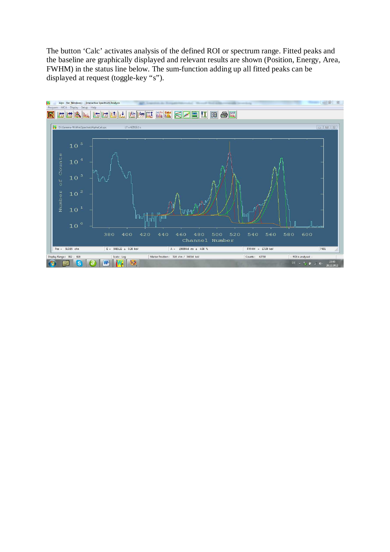The button 'Calc' activates analysis of the defined ROI or spectrum range. Fitted peaks and the baseline are graphically displayed and relevant results are shown (Position, Energy, Area, FWHM) in the status line below. The sum-function adding up all fitted peaks can be displayed at request (toggle-key "s").

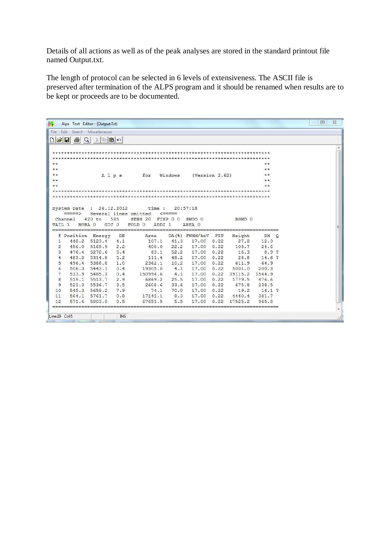Details of all actions as well as of the peak analyses are stored in the standard printout file named Output.txt.

The length of protocol can be selected in 6 levels of extensiveness. The ASCII file is preserved after termination of the ALPS program and it should be renamed when results are to be kept or proceeds are to be documented.

| W.                                                       | Alps Text Editor - [Output.Txt]                     |                                           |            |                                                                       |                                    |                                                |             |                |                                    |         | 回<br>ö | $\Sigma$       |
|----------------------------------------------------------|-----------------------------------------------------|-------------------------------------------|------------|-----------------------------------------------------------------------|------------------------------------|------------------------------------------------|-------------|----------------|------------------------------------|---------|--------|----------------|
| File                                                     | Edit                                                | Search Miscellaneous                      |            |                                                                       |                                    |                                                |             |                |                                    |         |        |                |
| $D \hat{\boldsymbol{x}} $ .                              | $\bigoplus$<br>$\mathcal{Q}$                        | $\mathbb{Z}$ to $\mathbf{a}$ o            |            |                                                                       |                                    |                                                |             |                |                                    |         |        |                |
| $4r +$<br>$+ +$<br>$\star\star$<br>$+ +$<br>44<br>TAIL 1 | System Date<br>$=$ $=$ $=$ $>$<br>Channel<br>NOBA 0 | Alps<br>: 26.12.2012<br>$420$ to<br>GIC 0 | 585        | for<br>Time :<br>Several lines omitted<br>SENS 20<br>ADDI 1<br>FOLD 0 | Windows<br>$\le$ =====<br>FIXP 0 0 | (Version 2.62)<br>20:57:18<br>SMOO 0<br>AREA 0 |             | BGND 0         | sk sk<br>4.4<br>$+ +$<br>4.4<br>44 |         |        | ×.<br>$\equiv$ |
| 1                                                        | # Position Energy<br>448.2                          | 5123.4                                    | DE<br>4.1  | Area<br>107.1                                                         | 41.3                               | $DA$ (%) FWHM/keV<br>17.00                     | FIT<br>0.22 | Height<br>27.8 | DH<br>12.0                         | $\circ$ |        |                |
| 2                                                        | 456.0                                               | 5165.9                                    | 2.2        | 408.0                                                                 | 22.2                               | 17.00                                          | 0.22        | 105.7          | 24.6                               |         |        |                |
| 3                                                        | 476.4                                               | 5278.6                                    | 5.4        | 63.1                                                                  | 52.2                               | 17.00                                          | 0.22        | 16.3           | 8.9.2                              |         |        |                |
| $\overline{4}$                                           | 483.0                                               | 5314.8                                    | 5.2        | 111.4                                                                 | 48.2                               | 17.00                                          | 0.22        | 28.8           | 14.6 ?                             |         |        |                |
| 5                                                        | 496.4                                               | 5388.8                                    | 1.0        | 2362.1                                                                | 10.2                               | 17.00                                          | 0.22        | 611.9          | 64.9                               |         |        |                |
| 6                                                        | 506.3                                               | 5443.1                                    | 0.4        | 19305.0                                                               | 4.1                                | 17.00                                          | 0.22        | 5001.0         | 200.3                              |         |        |                |
| 7                                                        | 513.9                                               | 5485.3                                    | 0.4        | 150994.6                                                              | 4.1                                | 17.00                                          | 0.22        | 39115.2        | 1544.9                             |         |        |                |
| $\overline{8}$                                           | 519.1                                               | 5513.7                                    | 2.9        | 6869.2                                                                | 25.5                               | 17.00                                          | 0.22        | 1779.5         | 476.6                              |         |        |                |
| 9                                                        | 523.3                                               | 5536.7                                    | 3.5        | 2608.6                                                                | 33.6                               | 17.00                                          | 0.22        | 675.8          | 238.5                              |         |        |                |
| 10                                                       | 545.3                                               | 5658.2                                    | 7.9        | 74.1                                                                  | 70.0                               | 17.00                                          | 0.22        | 19.2           | $14.1$ ?                           |         |        |                |
| 11                                                       | 564.1                                               | 5761.7                                    | 0.8        | 17141.1                                                               | 8.3                                | 17.00                                          | 0.22        | 4440.4         | 381.7                              |         |        |                |
| 12                                                       | 571.6                                               | 5803.0                                    | 0.5        | 67651.5                                                               | 5.5                                | 17.00                                          | 0.22        | 17525.2        | 965.8                              |         |        |                |
| Line:29 Col:5                                            |                                                     |                                           | <b>INS</b> |                                                                       |                                    |                                                |             |                |                                    |         |        | ÷              |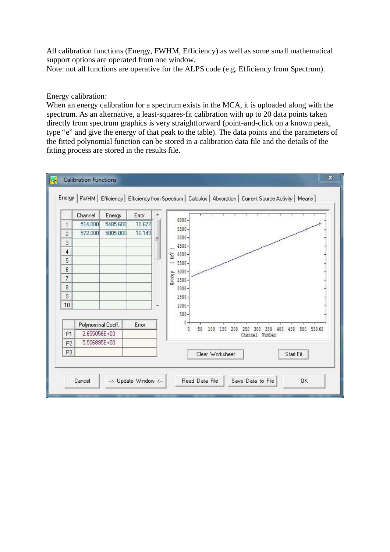All calibration functions (Energy, FWHM, Efficiency) as well as some small mathematical support options are operated from one window. Note: not all functions are operative for the ALPS code (e.g. Efficiency from Spectrum).

#### Energy calibration:

When an energy calibration for a spectrum exists in the MCA, it is uploaded along with the spectrum. As an alternative, a least-squares-fit calibration with up to 20 data points taken directly from spectrum graphics is very straightforward (point-and-click on a known peak, type "e" and give the energy of that peak to the table). The data points and the parameters of the fitted polynomial function can be stored in a calibration data file and the details of the fitting process are stored in the results file.

|                | Channel            | Energy   | Error  |   |                                                                              |
|----------------|--------------------|----------|--------|---|------------------------------------------------------------------------------|
| $\mathbf{1}$   | 514.000            | 5485.600 | 10.672 |   | 6000-                                                                        |
| $\overline{c}$ | 572.000            | 5805.000 | 10.149 |   | $5500 -$<br>5000-                                                            |
| 3              |                    |          |        | Ξ | 4500-                                                                        |
| 4              |                    |          |        |   | Ñо<br>$4000 -$                                                               |
| 5              |                    |          |        |   | $3500 -$                                                                     |
| 6              |                    |          |        |   | $3000 -$                                                                     |
| 7              |                    |          |        |   | <b>Energy</b><br>2500                                                        |
| 8              |                    |          |        |   | $2000 -$                                                                     |
| $\,9$          |                    |          |        |   | 1500                                                                         |
| 10             |                    |          |        | ÷ | $1000 -$                                                                     |
|                |                    |          |        |   | $500 -$                                                                      |
|                | Polynominal Coeff. |          | Error  |   | œ<br>50                                                                      |
| P <sub>1</sub> | 2.655056E+03       |          |        |   | O.<br>100<br>150<br>500 550 60<br>200<br>450<br>350<br>400<br>Channel Number |
| P <sub>2</sub> | 5.506895E+00       |          |        |   |                                                                              |
| P <sub>3</sub> |                    |          |        |   | Clear Worksheet<br>Start Fit                                                 |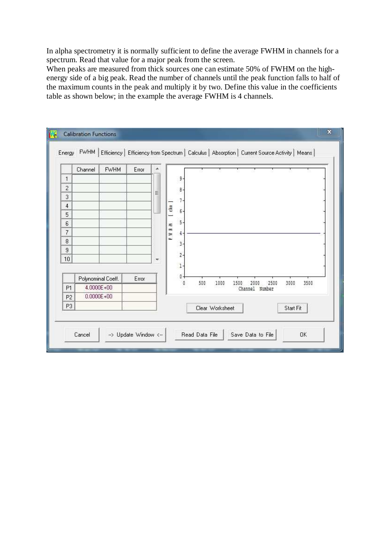In alpha spectrometry it is normally sufficient to define the average FWHM in channels for a spectrum. Read that value for a major peak from the screen.

When peaks are measured from thick sources one can estimate 50% of FWHM on the highenergy side of a big peak. Read the number of channels until the peak function falls to half of the maximum counts in the peak and multiply it by two. Define this value in the coefficients table as shown below; in the example the average FWHM is 4 channels.

|                | Channel | <b>FWHM</b>        | Error | ۰ |             |                |     |                 |      |                |      |           |      |
|----------------|---------|--------------------|-------|---|-------------|----------------|-----|-----------------|------|----------------|------|-----------|------|
| $\mathbf{1}$   |         |                    |       |   |             | 9              |     |                 |      |                |      |           |      |
| $\sqrt{2}$     |         |                    |       |   |             | $\theta$       |     |                 |      |                |      |           |      |
| 3              |         |                    |       | Ξ |             | $7 -$          |     |                 |      |                |      |           |      |
| $\overline{4}$ |         |                    |       |   | $[$ chn $]$ |                |     |                 |      |                |      |           |      |
| 5              |         |                    |       |   |             | 6-             |     |                 |      |                |      |           |      |
| 6              |         |                    |       |   | Ł           | 5-             |     |                 |      |                |      |           |      |
| 7              |         |                    |       |   | w W         | 4.             |     |                 |      |                |      |           |      |
| 8              |         |                    |       |   | آڪ          | 3.             |     |                 |      |                |      |           |      |
| 9              |         |                    |       |   |             | $\overline{2}$ |     |                 |      |                |      |           |      |
| 10             |         |                    |       | ÷ |             |                |     |                 |      |                |      |           |      |
|                |         |                    |       |   |             | $1 -$          |     |                 |      |                |      |           |      |
|                |         | Polynominal Coeff. | Error |   |             | $0 -$<br>đ     | 500 | 1000            | 1500 | 2000           | 2500 | 3000      | 3500 |
| P <sub>1</sub> |         | 4.0000E+00         |       |   |             |                |     |                 |      | Channel Number |      |           |      |
| P <sub>2</sub> |         | $0.0000E + 00$     |       |   |             |                |     |                 |      |                |      |           |      |
| P <sub>3</sub> |         |                    |       |   |             |                |     | Clear Worksheet |      |                |      | Start Fit |      |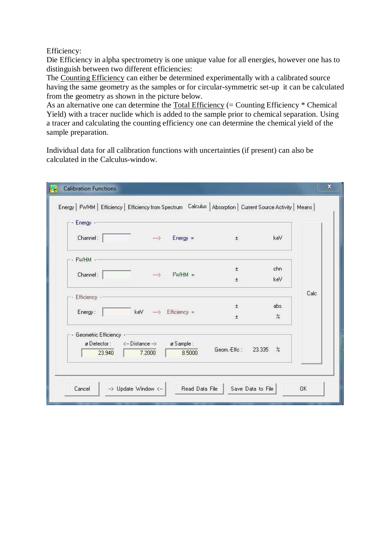Efficiency:

Die Efficiency in alpha spectrometry is one unique value for all energies, however one has to distinguish between two different efficiencies:

The Counting Efficiency can either be determined experimentally with a calibrated source having the same geometry as the samples or for circular-symmetric set-up it can be calculated from the geometry as shown in the picture below.

As an alternative one can determine the Total Efficiency (= Counting Efficiency \* Chemical Yield) with a tracer nuclide which is added to the sample prior to chemical separation. Using a tracer and calculating the counting efficiency one can determine the chemical yield of the sample preparation.

Individual data for all calibration functions with uncertainties (if present) can also be calculated in the Calculus-window.

| Energy   FWHM   Efficiency   Efficiency from Spectrum   Calculus   Absorption   Current Source Activity   Means  <br>$\overline{\phantom{a}}$ Energy $\cdot$ - |                            |                                |             |                         |      |
|----------------------------------------------------------------------------------------------------------------------------------------------------------------|----------------------------|--------------------------------|-------------|-------------------------|------|
| Channel:                                                                                                                                                       | $\rightarrow$              | $Energy =$                     | $\pm$       | keV                     |      |
| $-$ FWHM $-$                                                                                                                                                   |                            |                                | $\pm$       | chn                     |      |
| Channel:                                                                                                                                                       | $\longrightarrow$          | $FWHM =$                       | Ŧ           | keV                     |      |
| Efficiency -                                                                                                                                                   |                            |                                | $\pm$       | abs.                    | Calc |
| Energy:                                                                                                                                                        | keV                        | $\longrightarrow$ Efficiency = | $\pm$       | $\%$                    |      |
| Geometric Efficiency -<br>ø Detector:<br>23.940                                                                                                                | <-- Distance --><br>7.2000 | ø Sample:<br>8.5000            | Geom.-Effc: | 23.335<br>$\frac{9}{6}$ |      |
|                                                                                                                                                                |                            |                                |             |                         |      |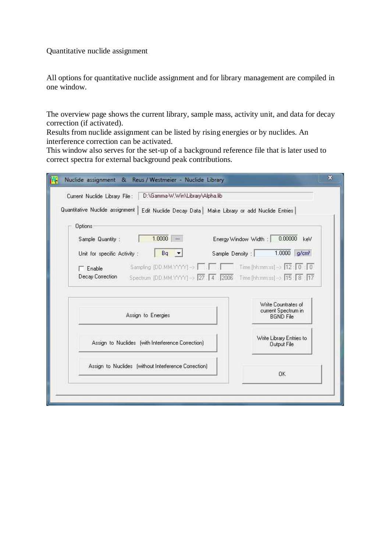Quantitative nuclide assignment

All options for quantitative nuclide assignment and for library management are compiled in one window.

The overview page shows the current library, sample mass, activity unit, and data for decay correction (if activated).

Results from nuclide assignment can be listed by rising energies or by nuclides. An interference correction can be activated.

This window also serves for the set-up of a background reference file that is later used to correct spectra for external background peak contributions.

| Edit Nuclide Decay Data   Make Library or add Nuclide Entries                                |  |
|----------------------------------------------------------------------------------------------|--|
|                                                                                              |  |
| 0.00000<br>Energy Window Width:<br>keV                                                       |  |
| 1.0000<br>g/cm <sup>3</sup><br>Sample Density :                                              |  |
| Sampling (DD.MM.YYYY) -> $\Box$ $\Box$ $\Box$ Time [hh:mm:ss] -> $\Box$ $\Box$ $\Box$ $\Box$ |  |
| Spectrum [DD.MM.YYYY] -> 27 4 2006 Time [hh:mm:ss] -> 15 8 17                                |  |
|                                                                                              |  |
| Write Countrates of<br>current Spectrum in                                                   |  |
| <b>BGND File</b>                                                                             |  |
|                                                                                              |  |
|                                                                                              |  |
| Write Library Entries to<br>Output File                                                      |  |
|                                                                                              |  |
|                                                                                              |  |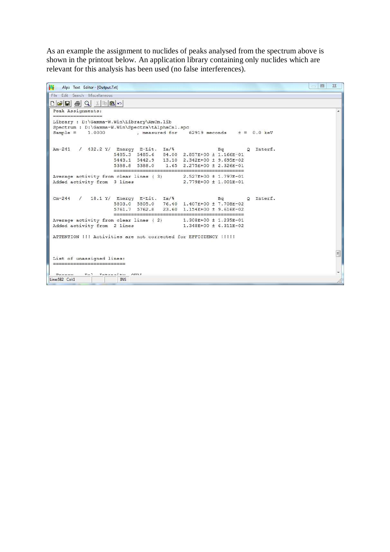As an example the assignment to nuclides of peaks analysed from the spectrum above is shown in the printout below. An application library containing only nuclides which are relevant for this analysis has been used (no false interferences).

| Alps Text Editor - [Output.Txt]                                                           | $\Sigma$<br>回<br>itini.                    |
|-------------------------------------------------------------------------------------------|--------------------------------------------|
| File Edit Search Miscellaneous                                                            |                                            |
| $\Box \bullet \Box \bullet \bullet \Diamond \bot \ast \bullet \bullet \land$              |                                            |
| Peak Assignments:                                                                         | ×                                          |
| Library : D:\Gamma-W.Win\Library\AmCm.lib                                                 |                                            |
| Spectrum : D:\Gamma-W.Win\Spectra\tAlphaCal.spc                                           |                                            |
| $Sample =$<br>1,0000                                                                      | . measured for 62919 seconds $t = 0.0$ keV |
|                                                                                           |                                            |
| Am-241 / 432.2 Y/ Energy E-Lit. Ia/%                                                      | O Interf.<br>$B\alpha$                     |
| 5485.3 5485.6 84.00 2.857E+00 ± 1.166E-01                                                 |                                            |
| 5443.1 5442.9 13.10 2.342E+00 ± 9.695E-02                                                 |                                            |
| 5388.8 5388.0 1.65 2.275E+00 ± 2.326E-01                                                  |                                            |
| Average activity from clear lines (3)                                                     | 2.527E+00 ± 1.797E-01                      |
| Added activity from 3 lines                                                               | 2.779E+00 ± 1.001E-01                      |
|                                                                                           |                                            |
|                                                                                           | 0 Interf.                                  |
| $\text{Cm-244}$ / 18.1 Y/ Energy E-Lit. Ia/%<br>5803.0 5805.0 76.40 1.407E+00 ± 7.708E-02 | Bq                                         |
| 5761.7 5762.8 23.60 1.154E+00 ± 9.616E-02                                                 |                                            |
| --------------------------                                                                |                                            |
| Average activity from clear lines (2) 1.308E+00 ± 1.235E-01                               |                                            |
| Added activity from 2 lines                                                               | 1.348E+00 ± 6.311E-02                      |
| ATTENTION !!! Activities are not corrected for EFFICIENCY !!!!!                           |                                            |
|                                                                                           |                                            |
|                                                                                           |                                            |
|                                                                                           | E                                          |
| List of unassigned lines:                                                                 |                                            |
|                                                                                           |                                            |
| Tetopoits OILT<br>$P_{max}$<br>$n-1$                                                      | ٠                                          |
| Line:582 Col:1<br><b>INS</b>                                                              |                                            |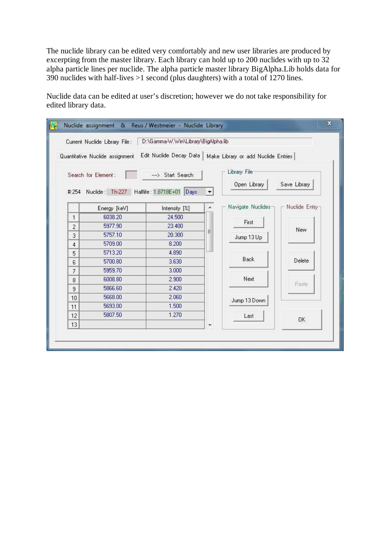The nuclide library can be edited very comfortably and new user libraries are produced by excerpting from the master library. Each library can hold up to 200 nuclides with up to 32 alpha particle lines per nuclide. The alpha particle master library BigAlpha.Lib holds data for 390 nuclides with half-lives >1 second (plus daughters) with a total of 1270 lines.

Nuclide data can be edited at user's discretion; however we do not take responsibility for edited library data.

|                          | Current Nuclide Library File:   | D:\Gamma-W.Win\Library\BigAlpha.lib                |                          |                                     |               |
|--------------------------|---------------------------------|----------------------------------------------------|--------------------------|-------------------------------------|---------------|
|                          | Quantitative Nuclide assignment | Edit Nuclide Decay Data                            |                          | Make Library or add Nuclide Entries |               |
|                          | Search for Element:             | --- > Start Search                                 |                          | Library File:                       |               |
|                          |                                 | #:254 Nuclide: Th-227 Halflife: 1.8718E+01<br>Days |                          | Open Library                        | Save Library  |
|                          | Energy [keV]                    | Intensity [%]                                      | ×.                       | Navigate Nuclides-                  | Nuclide Entry |
| $\mathbf{1}$             | 6038.20                         | 24.500                                             |                          |                                     |               |
| $\overline{2}$           | 5977.90                         | 23,400                                             |                          | First                               | New           |
| 3                        | 5757.10                         | 20,300                                             | Ξ                        | Jump 13 Up                          |               |
| 4                        | 5709.00                         | 8.200                                              |                          |                                     |               |
| 5                        | 5713.20                         | 4.890                                              |                          |                                     |               |
| 6                        | 5700.80                         | 3.630                                              |                          | Back                                | Delete        |
| $\overline{\mathcal{L}}$ | 5959.70                         | 3.000                                              |                          |                                     |               |
| 8                        | 6008.80                         | 2.900                                              |                          | Next.                               |               |
| 9                        | 5866.60                         | 2.420                                              |                          |                                     | Paste         |
| 10                       | 5668.00                         | 2.060                                              |                          | Jump 13 Down                        |               |
| 11                       | 5693.00                         | 1.500                                              |                          |                                     |               |
| 12                       | 5807.50                         | 1.270                                              |                          | Last                                |               |
| 13                       |                                 |                                                    | $\overline{\phantom{a}}$ |                                     | OK.           |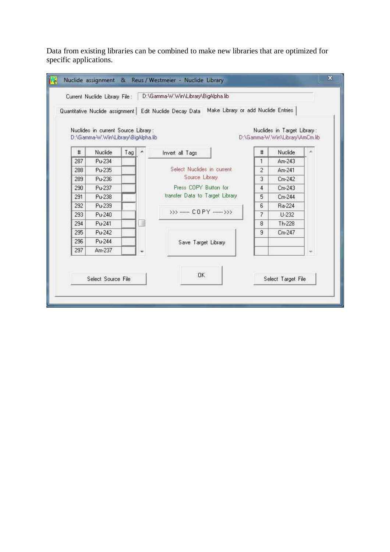Data from existing libraries can be combined to make new libraries that are optimized for specific applications.

|     |                                                                            |     |                  | Quantitative Nuclide assignment   Edit Nuclide Decay Data   Make Library or add Nuclide Entries |    |                                                                |                          |
|-----|----------------------------------------------------------------------------|-----|------------------|-------------------------------------------------------------------------------------------------|----|----------------------------------------------------------------|--------------------------|
|     | Nuclides in current Source Library:<br>D:\Gamma-W.Win\Library\BigAlpha.lib |     |                  |                                                                                                 |    | Nuclides in Target Library:<br>D:\Gamma-W.Win\Library\AmCm.lib |                          |
| #   | Nuclide                                                                    | Tag | $\blacktriangle$ | Invert all Tags                                                                                 | #  | Nuclide                                                        | ×                        |
| 287 | Pu-234                                                                     |     |                  |                                                                                                 | 1  | $Am-243$                                                       |                          |
| 288 | Pu-235                                                                     |     |                  | Select Nuclides in current                                                                      | 2  | Am-241                                                         |                          |
| 289 | Pu-236                                                                     |     |                  | Source Library                                                                                  | 3  | $Cm-242$                                                       |                          |
| 290 | Pu-237                                                                     |     |                  | Press COPY Button for                                                                           | 4  | Cm-243                                                         |                          |
| 291 | Pu-238                                                                     |     |                  | transfer Data to Target Library                                                                 | 5. | $Cm-244$                                                       |                          |
| 292 | Pu-239                                                                     |     |                  |                                                                                                 | 6  | Ra-224                                                         |                          |
| 293 | Pu-240                                                                     |     |                  | $555$ ----- COPY ------ $555$                                                                   | 7  | U-232                                                          |                          |
| 294 | Pu-241                                                                     |     |                  |                                                                                                 | 8  | Th-228                                                         |                          |
| 295 | Pu-242                                                                     |     |                  |                                                                                                 | 9  | Cm-247                                                         |                          |
| 296 | Pu-244                                                                     |     |                  | Save Target Library                                                                             |    |                                                                |                          |
| 297 | Am-237                                                                     |     |                  |                                                                                                 |    |                                                                | $\overline{\phantom{a}}$ |
|     |                                                                            |     |                  |                                                                                                 |    |                                                                |                          |
|     |                                                                            |     |                  | <b>OK</b>                                                                                       |    |                                                                |                          |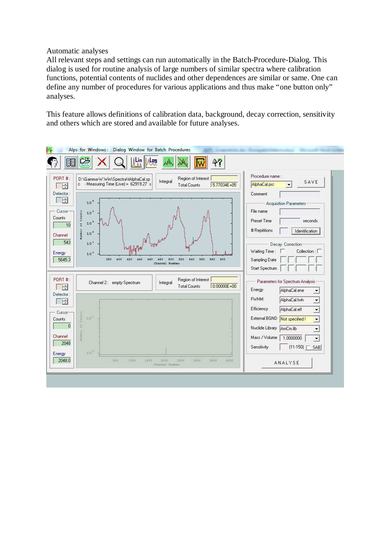#### Automatic analyses

All relevant steps and settings can run automatically in the Batch-Procedure-Dialog. This dialog is used for routine analysis of large numbers of similar spectra where calibration functions, potential contents of nuclides and other dependences are similar or same. One can define any number of procedures for various applications and thus make "one button only" analyses.

This feature allows definitions of calibration data, background, decay correction, sensitivity and others which are stored and available for future analyses.

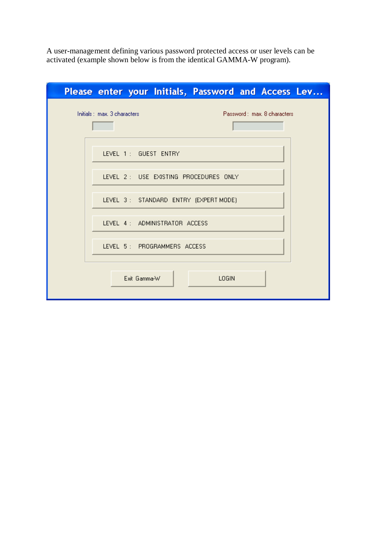A user-management defining various password protected access or user levels can be activated (example shown below is from the identical GAMMA-W program).

| Please enter your Initials, Password and Access Lev        |
|------------------------------------------------------------|
| Initials: max. 3 characters<br>Password: max. 8 characters |
| LEVEL 1 : GUEST ENTRY                                      |
| LEVEL 2 : USE EXISTING PROCEDURES ONLY                     |
| LEVEL 3: STANDARD ENTRY (EXPERT MODE)                      |
| LEVEL 4: ADMINISTRATOR ACCESS                              |
| LEVEL 5: PROGRAMMERS ACCESS                                |
| Exit Gamma-W<br>LOGIN                                      |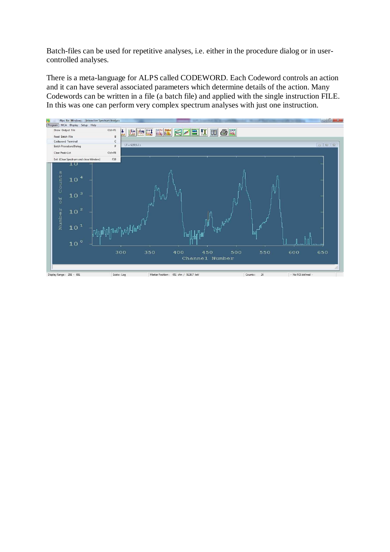Batch-files can be used for repetitive analyses, i.e. either in the procedure dialog or in usercontrolled analyses.

There is a meta-language for ALPS called CODEWORD. Each Codeword controls an action and it can have several associated parameters which determine details of the action. Many Codewords can be written in a file (a batch file) and applied with the single instruction FILE. In this was one can perform very complex spectrum analyses with just one instruction.

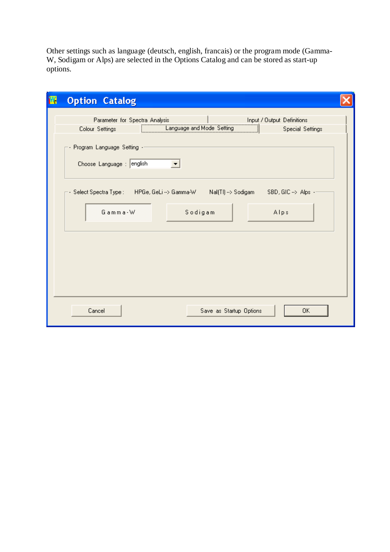Other settings such as language (deutsch, english, francais) or the program mode (Gamma-W, Sodigam or Alps) are selected in the Options Catalog and can be stored as start-up options.

| 羀 | <b>Option Catalog</b>                                                                                                                                                                              |  |
|---|----------------------------------------------------------------------------------------------------------------------------------------------------------------------------------------------------|--|
|   | Parameter for Spectra Analysis<br>Input / Output Definitions<br>Language and Mode Setting<br>Colour Settings<br><b>Special Settings</b><br>Program Language Setting -<br>Choose Language : english |  |
|   | - Select Spectra Type :       HPGe, GeLi --> Gamma-W         Nal(Tl) --> Sodigam        SBD, GIC -->  Alps -<br>Gamma-W<br>Sodigam<br>Alps                                                         |  |
|   |                                                                                                                                                                                                    |  |
|   | Save as Startup Options<br>Cancel<br>0K                                                                                                                                                            |  |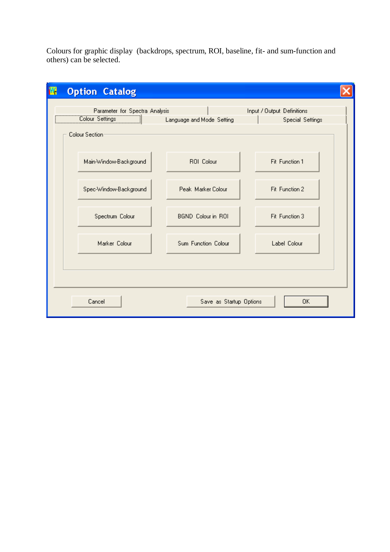Colours for graphic display (backdrops, spectrum, ROI, baseline, fit- and sum-function and others) can be selected.

| 羀 | <b>Option Catalog</b>                                                                |                           |                                                       |
|---|--------------------------------------------------------------------------------------|---------------------------|-------------------------------------------------------|
|   | Parameter for Spectra Analysis<br>Colour Settings (Colour Settings<br>Colour Section | Language and Mode Setting | Input / Output Definitions<br><b>Special Settings</b> |
|   | Main-Window-Background                                                               | ROI Colour                | Fit Function 1                                        |
|   | Spec-Window-Background                                                               | Peak Marker Colour        | Fit Function 2                                        |
|   | Spectrum Colour                                                                      | BGND Colour in ROI        | Fit Function 3                                        |
|   | Marker Colour                                                                        | Sum Function Colour       | Label Colour                                          |
|   |                                                                                      |                           |                                                       |
|   | Cancel                                                                               | Save as Startup Options   | 0K                                                    |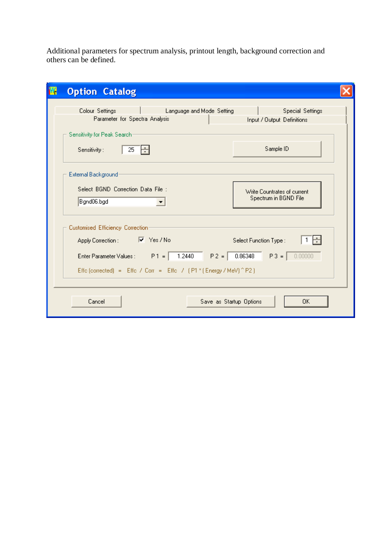Additional parameters for spectrum analysis, printout length, background correction and others can be defined.

| М<br><b>Option Catalog</b>                                                                                                                                |                                                                                    |  |  |
|-----------------------------------------------------------------------------------------------------------------------------------------------------------|------------------------------------------------------------------------------------|--|--|
| Colour Settings<br>Parameter for Spectra Analysis                                                                                                         | Language and Mode Setting<br><b>Special Settings</b><br>Input / Output Definitions |  |  |
| Sensitivity for Peak Search<br>Sensitivity:<br>25<br>÷                                                                                                    | Sample ID                                                                          |  |  |
| External Background<br>Select BGND Correction Data File :<br>Bgnd06.bgd                                                                                   | Write Countrates of current<br>Spectrum in BGND File                               |  |  |
| Customised Efficiency Correction:<br>$\nabla$ Yes / No<br>Apply Correction :                                                                              | Select Function Type :                                                             |  |  |
| 1.2440<br>0.86348<br>$P3 =$<br>Enter Parameter Values : $P1 =$<br>$P2 =$<br>0.00000<br>Effe (corrected) = Effe / Corr = Effe / (P1 * (Energy / MeV) ^ P2) |                                                                                    |  |  |
| Cancel                                                                                                                                                    | Save as Startup Options<br>0K                                                      |  |  |